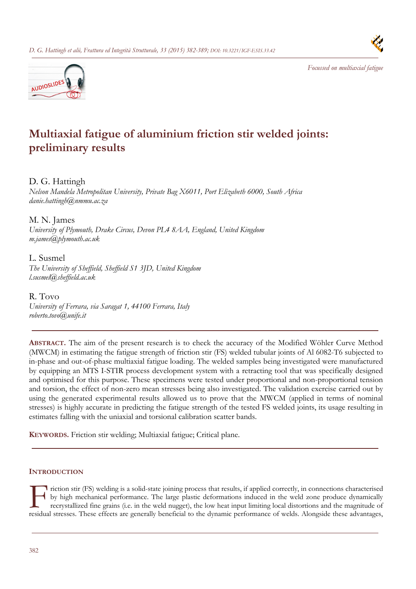



# **Multiaxial fatigue of aluminium friction stir welded joints: preliminary results**

D. G. Hattingh

*Nelson Mandela Metropolitan University, Private Bag X6011, Port Elizabeth 6000, South Africa danie.hattingh@nmmu.ac.za* 

M. N. James *University of Plymouth, Drake Circus, Devon PL4 8AA, England, United Kingdom m.james@plymouth.ac.uk*

L. Susmel *The University of Sheffield, Sheffield S1 3JD, United Kingdom l.susmel@sheffield.ac.uk*

R. Tovo *University of Ferrara, via Saragat 1, 44100 Ferrara, Italy roberto.tovo@unife.it* 

**ABSTRACT.** The aim of the present research is to check the accuracy of the Modified Wöhler Curve Method (MWCM) in estimating the fatigue strength of friction stir (FS) welded tubular joints of Al 6082-T6 subjected to in-phase and out-of-phase multiaxial fatigue loading. The welded samples being investigated were manufactured by equipping an MTS I-STIR process development system with a retracting tool that was specifically designed and optimised for this purpose. These specimens were tested under proportional and non-proportional tension and torsion, the effect of non-zero mean stresses being also investigated. The validation exercise carried out by using the generated experimental results allowed us to prove that the MWCM (applied in terms of nominal stresses) is highly accurate in predicting the fatigue strength of the tested FS welded joints, its usage resulting in estimates falling with the uniaxial and torsional calibration scatter bands.

**KEYWORDS.** Friction stir welding; Multiaxial fatigue; Critical plane.

# **INTRODUCTION**

**T** riction stir (FS) welding is a solid-state joining process that results, if applied correctly, in connections characterised by high mechanical performance. The large plastic deformations induced in the weld zone produce dynamically recrystallized fine grains (i.e. in the weld nugget), the low heat input limiting local distortions and the magnitude of riction stir (FS) welding is a solid-state joining process that results, if applied correctly, in connections characterised<br>by high mechanical performance. The large plastic deformations induced in the weld zone produce dy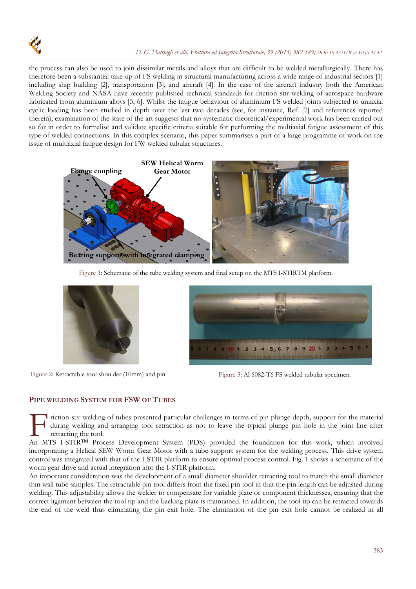

# *D. G. Hattingh et alii, Frattura ed Integrità Strutturale, 33 (2015) 382-389; DOI: 10.3221/IGF-ESIS.33.42*

the process can also be used to join dissimilar metals and alloys that are difficult to be welded metallurgically. There has therefore been a substantial take-up of FS welding in structural manufacturing across a wide range of industrial sectors [1] including ship building [2], transportation [3], and aircraft [4]. In the case of the aircraft industry both the American Welding Society and NASA have recently published technical standards for friction stir welding of aerospace hardware fabricated from aluminium alloys [5, 6]. Whilst the fatigue behaviour of aluminium FS welded joints subjected to uniaxial cyclic loading has been studied in depth over the last two decades (see, for instance, Ref. [7] and references reported therein), examination of the state of the art suggests that no systematic theoretical/experimental work has been carried out so far in order to formalise and validate specific criteria suitable for performing the multiaxial fatigue assessment of this type of welded connections. In this complex scenario, this paper summarises a part of a large programme of work on the issue of multiaxial fatigue design for FW welded tubular structures.



Figure 1: Schematic of the tube welding system and final setup on the MTS I-STIRTM platform.



Figure 2: Retractable tool shoulder (10mm) and pin. Figure 3: Al 6082-T6 FS welded tubular specimen.



#### **PIPE WELDING SYSTEM FOR FSW OF TUBES**

**T** riction stir welding of tubes presented particular challenges in terms of pin plunge depth, support for the material during welding and arranging tool retraction as not to leave the typical plunge pin hole in the joint line after retracting the tool. Triction stir welding of tubes presented particular challenges in terms of pin plunge depth, support for the material during welding and arranging tool retraction as not to leave the typical plunge pin hole in the joint li

incorporating a Helical SEW Worm Gear Motor with a tube support system for the welding process. This drive system control was integrated with that of the I-STIR platform to ensure optimal process control. Fig. 1 shows a schematic of the worm gear drive and actual integration into the I-STIR platform.

An important consideration was the development of a small diameter shoulder retracting tool to match the small diameter thin wall tube samples. The retractable pin tool differs from the fixed pin tool in that the pin length can be adjusted during welding. This adjustability allows the welder to compensate for variable plate or component thicknesses, ensuring that the correct ligament between the tool tip and the backing plate is maintained. In addition, the tool tip can be retracted towards the end of the weld thus eliminating the pin exit hole. The elimination of the pin exit hole cannot be realized in all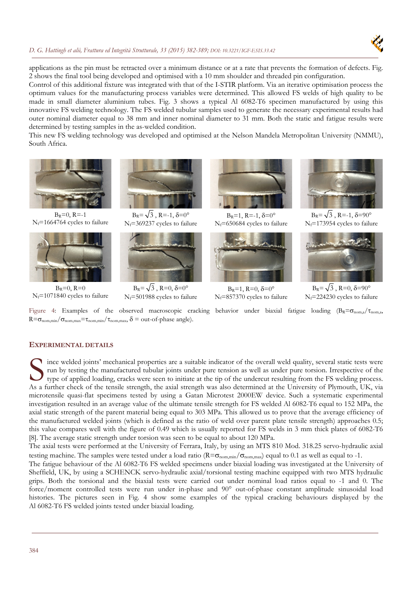# *D. G. Hattingh et alii, Frattura ed Integrità Strutturale, 33 (2015) 382-389; DOI: 10.3221/IGF-ESIS.33.42*



applications as the pin must be retracted over a minimum distance or at a rate that prevents the formation of defects. Fig. 2 shows the final tool being developed and optimised with a 10 mm shoulder and threaded pin configuration.

Control of this additional fixture was integrated with that of the I-STIR platform. Via an iterative optimisation process the optimum values for the manufacturing process variables were determined. This allowed FS welds of high quality to be made in small diameter aluminium tubes. Fig. 3 shows a typical Al 6082-T6 specimen manufactured by using this innovative FS welding technology. The FS welded tubular samples used to generate the necessary experimental results had outer nominal diameter equal to 38 mm and inner nominal diameter to 31 mm. Both the static and fatigue results were determined by testing samples in the as-welded condition.

This new FS welding technology was developed and optimised at the Nelson Mandela Metropolitan University (NMMU), South Africa.



 $B_R = \sqrt{3}$ ,  $R=0$ ,  $\delta=0^\circ$  $N_f = 501988$  cycles to failure





Figure 4: Examples of the observed macroscopic cracking behavior under biaxial fatigue loading  $(B_R = \sigma_{\text{nom},a}/\tau_{\text{nom},a})$  $R=\sigma_{\text{nom,min}}/\sigma_{\text{nom,max}}=\tau_{\text{nom,min}}/\tau_{\text{nom,max}}, \delta = \text{out-of-phase angle}.$ 

# **EXPERIMENTAL DETAILS**

 $B_R=0$ ,  $R=0$ Nf=1071840 cycles to failure

ince welded joints' mechanical properties are a suitable indicator of the overall weld quality, several static tests were run by testing the manufactured tubular joints under pure tension as well as under pure torsion. Irrespective of the type of applied loading, cracks were seen to initiate at the tip of the undercut resulting from the FS welding process. Fince welded joints' mechanical properties are a suitable indicator of the overall weld quality, several static tests were<br>run by testing the manufactured tubular joints under pure tension as well as under pure torsion. Ir microtensile quasi-flat specimens tested by using a Gatan Microtest 2000EW device. Such a systematic experimental investigation resulted in an average value of the ultimate tensile strength for FS welded Al 6082-T6 equal to 152 MPa, the axial static strength of the parent material being equal to 303 MPa. This allowed us to prove that the average efficiency of the manufactured welded joints (which is defined as the ratio of weld over parent plate tensile strength) approaches 0.5; this value compares well with the figure of 0.49 which is usually reported for FS welds in 3 mm thick plates of 6082-T6 [8]. The average static strength under torsion was seen to be equal to about 120 MPa.

The axial tests were performed at the University of Ferrara, Italy, by using an MTS 810 Mod. 318.25 servo-hydraulic axial testing machine. The samples were tested under a load ratio ( $R = \sigma_{\text{nom,min}}/\sigma_{\text{nom,max}}$ ) equal to 0.1 as well as equal to -1.

The fatigue behaviour of the Al 6082-T6 FS welded specimens under biaxial loading was investigated at the University of Sheffield, UK, by using a SCHENCK servo-hydraulic axial/torsional testing machine equipped with two MTS hydraulic grips. Both the torsional and the biaxial tests were carried out under nominal load ratios equal to -1 and 0. The force/moment controlled tests were run under in-phase and 90° out-of-phase constant amplitude sinusoidal load histories. The pictures seen in Fig. 4 show some examples of the typical cracking behaviours displayed by the Al 6082-T6 FS welded joints tested under biaxial loading.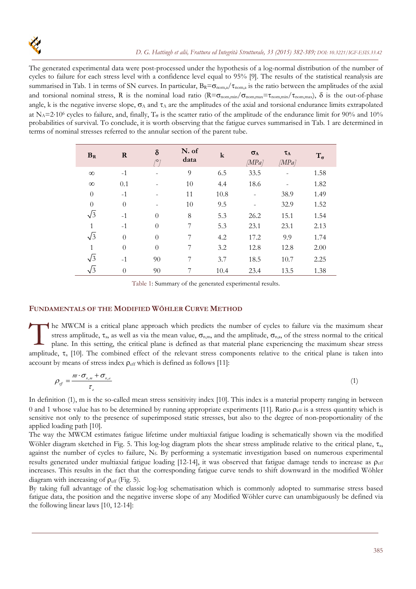

The generated experimental data were post-processed under the hypothesis of a log-normal distribution of the number of cycles to failure for each stress level with a confidence level equal to 95% [9]. The results of the statistical reanalysis are summarised in Tab. 1 in terms of SN curves. In particular,  $B_R = \sigma_{\text{nom},a}/\tau_{\text{nom},a}$  is the ratio between the amplitudes of the axial and torsional nominal stress, R is the nominal load ratio  $(R = \sigma_{\text{nom,min}}/\sigma_{\text{nom,max}} = \tau_{\text{nom,min}}/\tau_{\text{nom,max}})$ ,  $\delta$  is the out-of-phase angle, k is the negative inverse slope,  $\sigma_A$  and  $\tau_A$  are the amplitudes of the axial and torsional endurance limits extrapolated at  $N_A=2.10^6$  cycles to failure, and, finally,  $T_\sigma$  is the scatter ratio of the amplitude of the endurance limit for 90% and 10% probabilities of survival. To conclude, it is worth observing that the fatigue curves summarised in Tab. 1 are determined in terms of nominal stresses referred to the annular section of the parent tube.

| $B_R$        | $\bf{R}$         | $\delta$<br>$\sqrt{27}$ | N. of<br>data | $\bf k$ | $\sigma_{A}$<br>[MPa] | $\tau_A$<br>[MPa] | $T_{\sigma}$ |
|--------------|------------------|-------------------------|---------------|---------|-----------------------|-------------------|--------------|
| $\infty$     | $-1$             |                         | 9             | 6.5     | 33.5                  |                   | 1.58         |
| $\infty$     | 0.1              |                         | 10            | 4.4     | 18.6                  |                   | 1.82         |
| $\theta$     | $-1$             |                         | 11            | 10.8    |                       | 38.9              | 1.49         |
| $\theta$     | $\boldsymbol{0}$ |                         | 10            | 9.5     |                       | 32.9              | 1.52         |
| $\sqrt{3}$   | $-1$             | $\theta$                | 8             | 5.3     | 26.2                  | 15.1              | 1.54         |
| $\mathbf{1}$ | $-1$             | $\theta$                | 7             | 5.3     | 23.1                  | 23.1              | 2.13         |
| $\sqrt{3}$   | $\theta$         | $\theta$                | 7             | 4.2     | 17.2                  | 9.9               | 1.74         |
| $\mathbf{1}$ | $\theta$         | $\theta$                | 7             | 3.2     | 12.8                  | 12.8              | 2.00         |
| $\sqrt{3}$   | $-1$             | 90                      | 7             | 3.7     | 18.5                  | 10.7              | 2.25         |
| $\sqrt{3}$   | $\theta$         | 90                      |               | 10.4    | 23.4                  | 13.5              | 1.38         |

Table 1: Summary of the generated experimental results.

# **FUNDAMENTALS OF THE MODIFIED WÖHLER CURVE METHOD**

he MWCM is a critical plane approach which predicts the number of cycles to failure via the maximum shear stress amplitude,  $\tau_a$ , as well as via the mean value,  $\sigma_{n,m}$ , and the amplitude,  $\sigma_{n,a}$ , of the stress normal stress amplitude,  $\tau_a$ , as well as via the mean value,  $\sigma_{n,m}$ , and the amplitude,  $\sigma_{n,a}$ , of the stress normal to the critical plane. In this setting, the critical plane is defined as that material plane experiencing the maximum shear stress amplitude,  $\tau_a$  [10]. The combined effect of the relevant stress components relative to the critical plane is taken into account by means of stress index  $\rho_{\text{eff}}$  which is defined as follows [11]:

$$
\rho_{\text{eff}} = \frac{m \cdot \sigma_{n,m} + \sigma_{n,a}}{\tau_a} \tag{1}
$$

In definition (1), m is the so-called mean stress sensitivity index [10]. This index is a material property ranging in between 0 and 1 whose value has to be determined by running appropriate experiments [11]. Ratio  $\rho_{\text{eff}}$  is a stress quantity which is sensitive not only to the presence of superimposed static stresses, but also to the degree of non-proportionality of the applied loading path [10].

The way the MWCM estimates fatigue lifetime under multiaxial fatigue loading is schematically shown via the modified Wöhler diagram sketched in Fig. 5. This log-log diagram plots the shear stress amplitude relative to the critical plane,  $\tau_a$ , against the number of cycles to failure,  $N_f$ . By performing a systematic investigation based on numerous experimental results generated under multiaxial fatigue loading  $[12-14]$ , it was observed that fatigue damage tends to increase as  $\rho_{\rm eff}$ increases. This results in the fact that the corresponding fatigue curve tends to shift downward in the modified Wöhler diagram with increasing of  $\rho_{\text{eff}}$  (Fig. 5).

By taking full advantage of the classic log-log schematisation which is commonly adopted to summarise stress based fatigue data, the position and the negative inverse slope of any Modified Wöhler curve can unambiguously be defined via the following linear laws [10, 12-14]: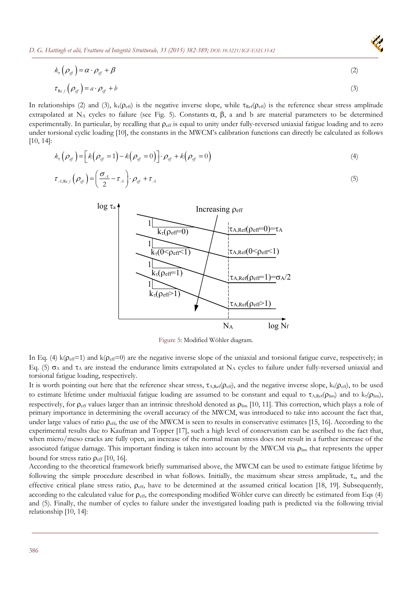*D. G. Hattingh et alii, Frattura ed Integrità Strutturale, 33 (2015) 382-389; DOI: 10.3221/IGF-ESIS.33.42* 

$$
k_{\tau}\left(\rho_{\text{eff}}\right) = \alpha \cdot \rho_{\text{eff}} + \beta \tag{2}
$$

$$
\tau_{\text{Re} f}\left(\rho_{\text{eff}}\right) = a \cdot \rho_{\text{eff}} + b \tag{3}
$$

In relationships (2) and (3),  $k_{\tau}(\rho_{\text{eff}})$  is the negative inverse slope, while  $\tau_{\text{Ref}}(\rho_{\text{eff}})$  is the reference shear stress amplitude extrapolated at N<sub>A</sub> cycles to failure (see Fig. 5). Constants  $\alpha$ ,  $\beta$ , a and b are material parameters to be determined experimentally. In particular, by recalling that  $\rho_{\rm eff}$  is equal to unity under fully-reversed uniaxial fatigue loading and to zero under torsional cyclic loading [10], the constants in the MWCM's calibration functions can directly be calculated as follows [10, 14]:

$$
k_{r}\left(\rho_{\text{eff}}\right) = \left[k\left(\rho_{\text{eff}}=1\right) - k\left(\rho_{\text{eff}}=0\right)\right] \cdot \rho_{\text{eff}} + k\left(\rho_{\text{eff}}=0\right) \tag{4}
$$

$$
\tau_{A, \text{Re} f}\left(\rho_{\text{eff}}\right) = \left(\frac{\sigma_A}{2} - \tau_A\right) \cdot \rho_{\text{eff}} + \tau_A \tag{5}
$$



Figure 5: Modified Wöhler diagram.

In Eq. (4) k( $\rho_{\text{eff}}=1$ ) and k( $\rho_{\text{eff}}=0$ ) are the negative inverse slope of the uniaxial and torsional fatigue curve, respectively; in Eq. (5)  $\sigma_A$  and  $\tau_A$  are instead the endurance limits extrapolated at N<sub>A</sub> cycles to failure under fully-reversed uniaxial and torsional fatigue loading, respectively.

It is worth pointing out here that the reference shear stress,  $\tau_{A,Ref}(\rho_{eff})$ , and the negative inverse slope,  $k_{\tau}(\rho_{eff})$ , to be used to estimate lifetime under multiaxial fatigue loading are assumed to be constant and equal to  $\tau_{A,Ref}(p_{lim})$  and to  $k_{\tau}(p_{lim})$ , respectively, for  $\rho_{\text{eff}}$  values larger than an intrinsic threshold denoted as  $\rho_{\text{lim}}$  [10, 11]. This correction, which plays a role of primary importance in determining the overall accuracy of the MWCM, was introduced to take into account the fact that, under large values of ratio  $\rho_{\text{eff}}$ , the use of the MWCM is seen to results in conservative estimates [15, 16]. According to the experimental results due to Kaufman and Topper [17], such a high level of conservatism can be ascribed to the fact that, when micro/meso cracks are fully open, an increase of the normal mean stress does not result in a further increase of the associated fatigue damage. This important finding is taken into account by the MWCM via  $\rho_{\text{lim}}$  that represents the upper bound for stress ratio  $\rho_{\text{eff}}$  [10, 16].

According to the theoretical framework briefly summarised above, the MWCM can be used to estimate fatigue lifetime by following the simple procedure described in what follows. Initially, the maximum shear stress amplitude,  $\tau_a$ , and the effective critical plane stress ratio,  $\rho_{\text{eff}}$ , have to be determined at the assumed critical location [18, 19]. Subsequently, according to the calculated value for  $\rho_{\text{eff}}$ , the corresponding modified Wöhler curve can directly be estimated from Eqs (4) and (5). Finally, the number of cycles to failure under the investigated loading path is predicted via the following trivial relationship [10, 14]: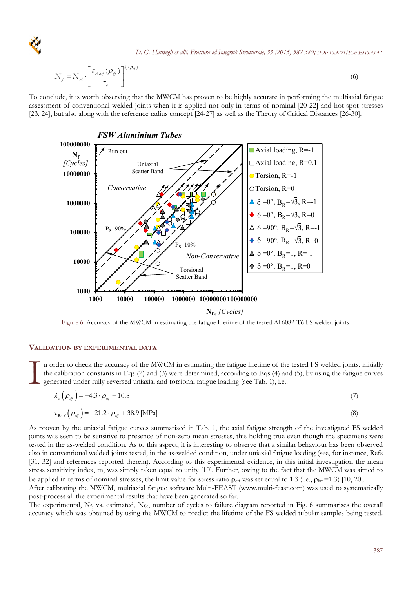

$$
N_f = N_A \cdot \left[ \frac{\tau_{A,ref}(\rho_{\text{eff}})}{\tau_a} \right]^{\mathcal{k}_t(\rho_{\text{eff}})}
$$
(6)

To conclude, it is worth observing that the MWCM has proven to be highly accurate in performing the multiaxial fatigue assessment of conventional welded joints when it is applied not only in terms of nominal [20-22] and hot-spot stresses [23, 24], but also along with the reference radius concept [24-27] as well as the Theory of Critical Distances [26-30].



Figure 6: Accuracy of the MWCM in estimating the fatigue lifetime of the tested Al 6082-T6 FS welded joints.

#### **VALIDATION BY EXPERIMENTAL DATA**

n order to check the accuracy of the MWCM in estimating the fatigue lifetime of the tested FS welded joints, initially the calibration constants in Eqs (2) and (3) were determined, according to Eqs (4) and (5), by using the fatigue curves generated under fully-reversed uniaxial and torsional fatigue loading (see Tab. 1), i.e.:  $\prod_{\text{the}}^{\text{n}}$ 

$$
k_{\tau}\left(\rho_{\text{eff}}\right) = -4.3 \cdot \rho_{\text{eff}} + 10.8\tag{7}
$$

$$
\tau_{\text{Re} f} \left( \rho_{\text{eff}} \right) = -21.2 \cdot \rho_{\text{eff}} + 38.9 \text{ [MPa]}
$$
\n(8)

As proven by the uniaxial fatigue curves summarised in Tab. 1, the axial fatigue strength of the investigated FS welded joints was seen to be sensitive to presence of non-zero mean stresses, this holding true even though the specimens were tested in the as-welded condition. As to this aspect, it is interesting to observe that a similar behaviour has been observed also in conventional welded joints tested, in the as-welded condition, under uniaxial fatigue loading (see, for instance, Refs [31, 32] and references reported therein). According to this experimental evidence, in this initial investigation the mean stress sensitivity index, m, was simply taken equal to unity [10]. Further, owing to the fact that the MWCM was aimed to be applied in terms of nominal stresses, the limit value for stress ratio  $\rho_{\text{eff}}$  was set equal to 1.3 (i.e.,  $\rho_{\text{lim}}$ =1.3) [10, 20].

After calibrating the MWCM, multiaxial fatigue software Multi-FEAST (www.multi-feast.com) was used to systematically post-process all the experimental results that have been generated so far.

The experimental,  $N_f$ , vs. estimated,  $N_{f,e}$ , number of cycles to failure diagram reported in Fig. 6 summarises the overall accuracy which was obtained by using the MWCM to predict the lifetime of the FS welded tubular samples being tested.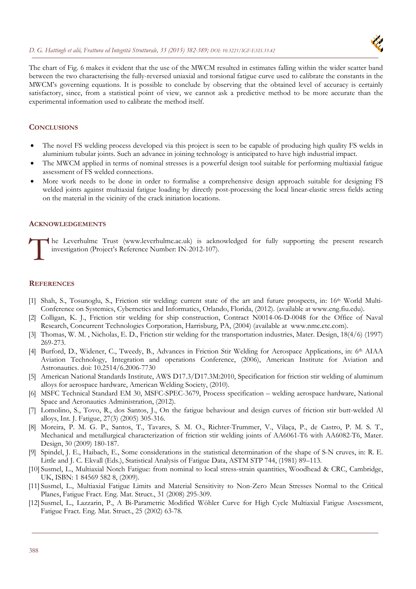

The chart of Fig. 6 makes it evident that the use of the MWCM resulted in estimates falling within the wider scatter band between the two characterising the fully-reversed uniaxial and torsional fatigue curve used to calibrate the constants in the MWCM's governing equations. It is possible to conclude by observing that the obtained level of accuracy is certainly satisfactory, since, from a statistical point of view, we cannot ask a predictive method to be more accurate than the experimental information used to calibrate the method itself.

# **CONCLUSIONS**

- The novel FS welding process developed via this project is seen to be capable of producing high quality FS welds in aluminium tubular joints. Such an advance in joining technology is anticipated to have high industrial impact.
- The MWCM applied in terms of nominal stresses is a powerful design tool suitable for performing multiaxial fatigue assessment of FS welded connections.
- More work needs to be done in order to formalise a comprehensive design approach suitable for designing FS welded joints against multiaxial fatigue loading by directly post-processing the local linear-elastic stress fields acting on the material in the vicinity of the crack initiation locations.

# **ACKNOWLEDGEMENTS**

he Leverhulme Trust (www.leverhulme.ac.uk) is acknowledged for fully supporting the present research investigation (Project's Reference Number: IN-2012-107).  $\sum_{\text{in}}^{\text{he}}$ 

# **REFERENCES**

- [1] Shah, S., Tosunoglu, S., Friction stir welding: current state of the art and future prospects, in: 16th World Multi-Conference on Systemics, Cybernetics and Informatics, Orlando, Florida, (2012). (available at www.eng.fiu.edu).
- [2] Colligan, K. J., Friction stir welding for ship construction, Contract N0014-06-D-0048 for the Office of Naval Research, Concurrent Technologies Corporation, Harrisburg, PA, (2004) (available at www.nmc.ctc.com).
- [3] Thomas, W. M. , Nicholas, E. D., Friction stir welding for the transportation industries, Mater. Design, 18(4/6) (1997) 269-273.
- [4] Burford, D., Widener, C., Tweedy, B., Advances in Friction Stir Welding for Aerospace Applications, in: 6th AIAA Aviation Technology, Integration and operations Conference, (2006), American Institute for Aviation and Astronautics. doi: 10.2514/6.2006-7730
- [5] American National Standards Institute, AWS D17.3/D17.3M:2010, Specification for friction stir welding of aluminum alloys for aerospace hardware, American Welding Society, (2010).
- [6] MSFC Technical Standard EM 30, MSFC-SPEC-3679, Process specification welding aerospace hardware, National Space and Aeronautics Administration, (2012).
- [7] Lomolino, S., Tovo, R., dos Santos, J., On the fatigue behaviour and design curves of friction stir butt-welded Al alloys, Int. J. Fatigue, 27(3) (2005) 305-316.
- [8] Moreira, P. M. G. P., Santos, T., Tavares, S. M. O., Richter-Trummer, V., Vilaça, P., de Castro, P. M. S. T., Mechanical and metallurgical characterization of friction stir welding joints of AA6061-T6 with AA6082-T6, Mater. Design, 30 (2009) 180-187.
- [9] Spindel, J. E., Haibach, E., Some considerations in the statistical determination of the shape of S-N cruves, in: R. E. Little and J. C. Ekvall (Eds.), Statistical Analysis of Fatigue Data, ASTM STP 744, (1981) 89–113.
- [10] Susmel, L., Multiaxial Notch Fatigue: from nominal to local stress-strain quantities, Woodhead & CRC, Cambridge, UK, ISBN: 1 84569 582 8, (2009).
- [11] Susmel, L., Multiaxial Fatigue Limits and Material Sensitivity to Non-Zero Mean Stresses Normal to the Critical Planes, Fatigue Fract. Eng. Mat. Struct., 31 (2008) 295-309.
- [12] Susmel, L., Lazzarin, P., A Bi-Parametric Modified Wöhler Curve for High Cycle Multiaxial Fatigue Assessment, Fatigue Fract. Eng. Mat. Struct., 25 (2002) 63-78.